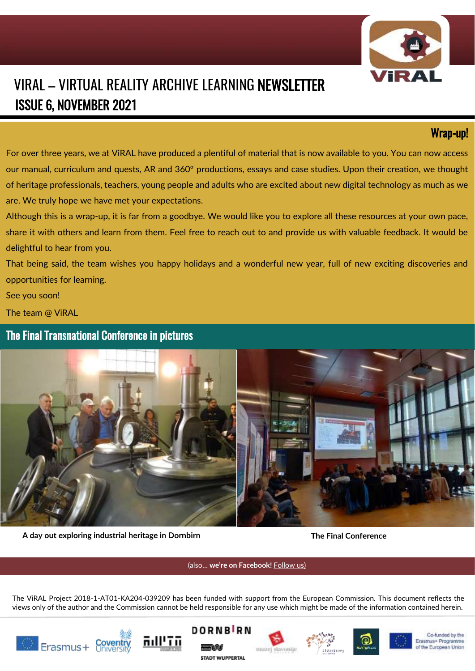

# VIRAL – VIRTUAL REALITY ARCHIVE LEARNING NEWSLETTER ISSUE 6, NOVEMBER 2021

## Wrap-up!

For over three years, we at ViRAL have produced a plentiful of material that is now available to you. You can now access our manual, curriculum and quests, AR and 360º productions, essays and case studies. Upon their creation, we thought of heritage professionals, teachers, young people and adults who are excited about new digital technology as much as we are. We truly hope we have met your expectations.

Although this is a wrap-up, it is far from a goodbye. We would like you to explore all these resources at your own pace, share it with others and learn from them. Feel free to reach out to and provide us with valuable feedback. It would be delightful to hear from you.

That being said, the team wishes you happy holidays and a wonderful new year, full of new exciting discoveries and opportunities for learning.

See you soon!

The team @ ViRAL

The Final Transnational Conference in pictures



**A day out exploring industrial heritage in Dornbirn The Final Conference**

(also… **we're on Facebook!** [Follow us\)](https://www.facebook.com/VIRAL-363845321020632/)

The ViRAL Project 2018-1-AT01-KA204-039209 has been funded with support from the European Commission. This document reflects the views only of the author and the Commission cannot be held responsible for any use which might be made of the information contained herein.















Co-funded by the Erasmus+ Programme of the European Union